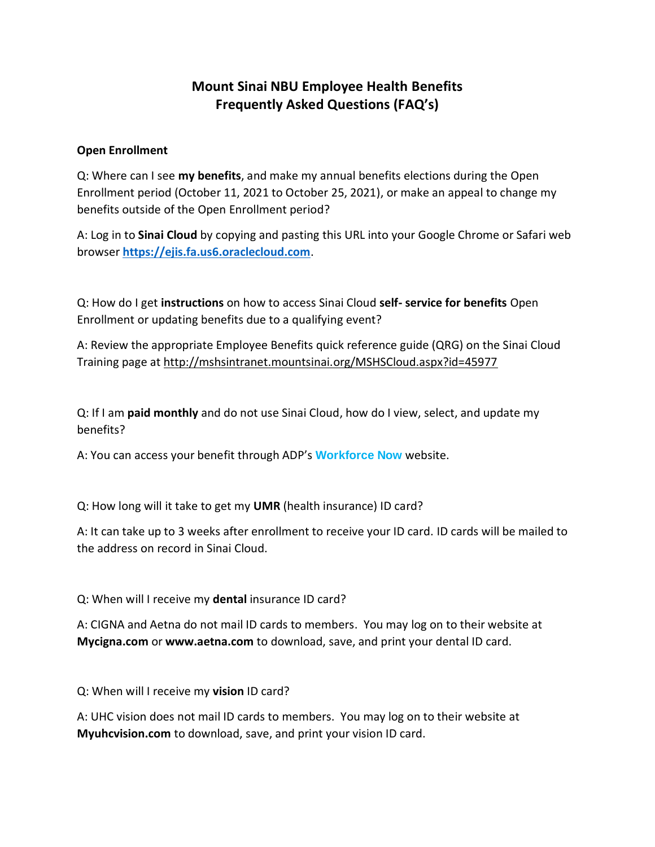## **Mount Sinai NBU Employee Health Benefits Frequently Asked Questions (FAQ's)**

## **Open Enrollment**

Q: Where can I see **my benefits**, and make my annual benefits elections during the Open Enrollment period (October 11, 2021 to October 25, 2021), or make an appeal to change my benefits outside of the Open Enrollment period?

A: Log in to **Sinai Cloud** by copying and pasting this URL into your Google Chrome or Safari web browser **[https://ejis.fa.us6.oraclecloud.com](https://ejis.fa.us6.oraclecloud.com/)**.

Q: How do I get **instructions** on how to access Sinai Cloud **self- service for benefits** Open Enrollment or updating benefits due to a qualifying event?

A: Review the appropriate Employee Benefits quick reference guide (QRG) on the Sinai Cloud Training page at <http://mshsintranet.mountsinai.org/MSHSCloud.aspx?id=45977>

Q: If I am **paid monthly** and do not use Sinai Cloud, how do I view, select, and update my benefits?

A: You can access your benefit through ADP's **[Workforce Now](http://s2.bl-1.com/h/dlJSpWCC?url=http://www.workforcenow.adp.com/)** website.

Q: How long will it take to get my **UMR** (health insurance) ID card?

A: It can take up to 3 weeks after enrollment to receive your ID card. ID cards will be mailed to the address on record in Sinai Cloud.

Q: When will I receive my **dental** insurance ID card?

A: CIGNA and Aetna do not mail ID cards to members. You may log on to their website at **Mycigna.com** or **www.aetna.com** to download, save, and print your dental ID card.

Q: When will I receive my **vision** ID card?

A: UHC vision does not mail ID cards to members. You may log on to their website at **Myuhcvision.com** to download, save, and print your vision ID card.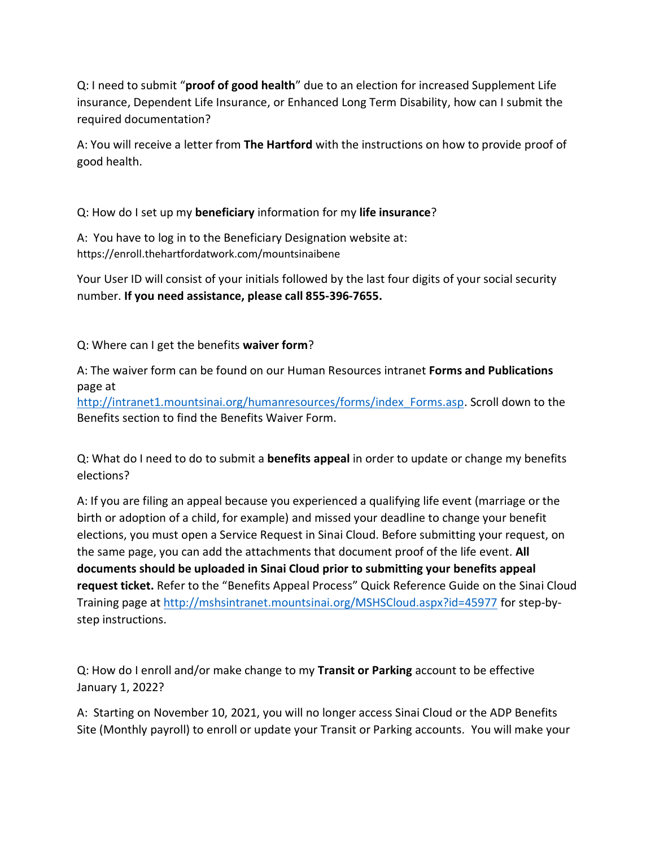Q: I need to submit "**proof of good health**" due to an election for increased Supplement Life insurance, Dependent Life Insurance, or Enhanced Long Term Disability, how can I submit the required documentation?

A: You will receive a letter from **The Hartford** with the instructions on how to provide proof of good health.

Q: How do I set up my **beneficiary** information for my **life insurance**?

A: You have to log in to the Beneficiary Designation website at: https://enroll.thehartfordatwork.com/mountsinaibene

Your User ID will consist of your initials followed by the last four digits of your social security number. **If you need assistance, please call 855-396-7655.**

Q: Where can I get the benefits **waiver form**?

A: The waiver form can be found on our Human Resources intranet **Forms and Publications** page at

[http://intranet1.mountsinai.org/humanresources/forms/index\\_Forms.asp.](http://intranet1.mountsinai.org/humanresources/forms/index_Forms.asp) Scroll down to the Benefits section to find the Benefits Waiver Form.

Q: What do I need to do to submit a **benefits appeal** in order to update or change my benefits elections?

A: If you are filing an appeal because you experienced a qualifying life event (marriage or the birth or adoption of a child, for example) and missed your deadline to change your benefit elections, you must open a Service Request in Sinai Cloud. Before submitting your request, on the same page, you can add the attachments that document proof of the life event. **All documents should be uploaded in Sinai Cloud prior to submitting your benefits appeal request ticket.** Refer to the "Benefits Appeal Process" Quick Reference Guide on the Sinai Cloud Training page at<http://mshsintranet.mountsinai.org/MSHSCloud.aspx?id=45977> for step-bystep instructions.

Q: How do I enroll and/or make change to my **Transit or Parking** account to be effective January 1, 2022?

A: Starting on November 10, 2021, you will no longer access Sinai Cloud or the ADP Benefits Site (Monthly payroll) to enroll or update your Transit or Parking accounts. You will make your